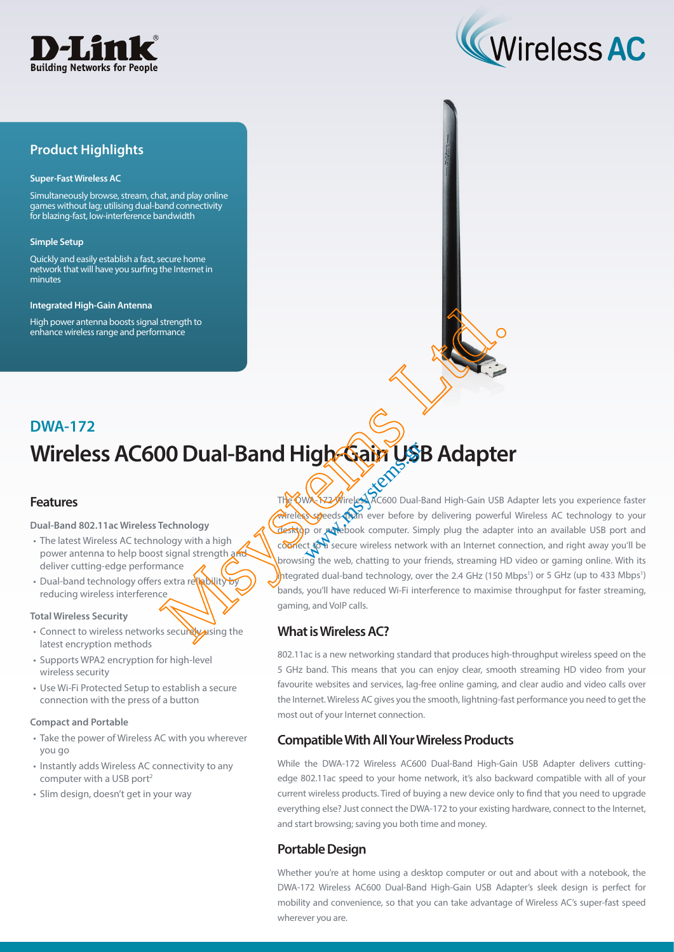



## **Product Highlights**

#### **Super-Fast Wireless AC**

Simultaneously browse, stream, chat, and play online games without lag; utilising dual-band connectivity for blazing-fast, low-interference bandwidth

#### **Simple Setup**

Quickly and easily establish a fast, secure home network that will have you surfing the Internet in minutes

#### **Integrated High-Gain Antenna**

High power antenna boosts signal strength to enhance wireless range and performance

# **Wireless AC600 Dual-Band High-Gain USB Adapter DWA-172**

## **Features**

**Dual-Band 802.11ac Wireless Technology**

- The latest Wireless AC technology with a high power antenna to help boost signal strength and deliver cutting-edge performance
- Dual-band technology offers extra reliability reducing wireless interference

#### **Total Wireless Security**

- Connect to wireless networks securely using the latest encryption methods
- Supports WPA2 encryption for high-level wireless security
- Use Wi-Fi Protected Setup to establish a secure connection with the press of a button

#### **Compact and Portable**

- Take the power of Wireless AC with you wherever you go
- Instantly adds Wireless AC connectivity to any computer with a USB port<sup>2</sup>
- Slim design, doesn't get in your way

The QWA-172 Wireless AC600 Dual-Band High-Gain USB Adapter lets you experience faster wireless speeds than ever before by delivering powerful Wireless AC technology to your Lesktop or *potebook computer. Simply plug the adapter into an available USB port and* comnect to a secure wireless network with an Internet connection, and right away you'll be browsing the web, chatting to your friends, streaming HD video or gaming online. With its integrated dual-band technology, over the 2.4 GHz (150 Mbps<sup>1</sup>) or 5 GHz (up to 433 Mbps<sup>1</sup>) bands, you'll have reduced Wi-Fi interference to maximise throughput for faster streaming, gaming, and VoIP calls. Steering to marked and **High Cair USB Adapter**<br>
The Companion and Companion and High-Gain USB And Computer of the state of the steering powerful<br>
The Companion and High-Gain USB And Computer Simple powerful<br>
The Companion **igh Gain Us** 

## **What is Wireless AC?**

802.11ac is a new networking standard that produces high-throughput wireless speed on the 5 GHz band. This means that you can enjoy clear, smooth streaming HD video from your favourite websites and services, lag-free online gaming, and clear audio and video calls over the Internet. Wireless AC gives you the smooth, lightning-fast performance you need to get the most out of your Internet connection.

## **Compatible With All Your Wireless Products**

While the DWA-172 Wireless AC600 Dual-Band High-Gain USB Adapter delivers cuttingedge 802.11ac speed to your home network, it's also backward compatible with all of your current wireless products. Tired of buying a new device only to find that you need to upgrade everything else? Just connect the DWA-172 to your existing hardware, connect to the Internet, and start browsing; saving you both time and money.

## **Portable Design**

Whether you're at home using a desktop computer or out and about with a notebook, the DWA-172 Wireless AC600 Dual-Band High-Gain USB Adapter's sleek design is perfect for mobility and convenience, so that you can take advantage of Wireless AC's super-fast speed wherever you are.